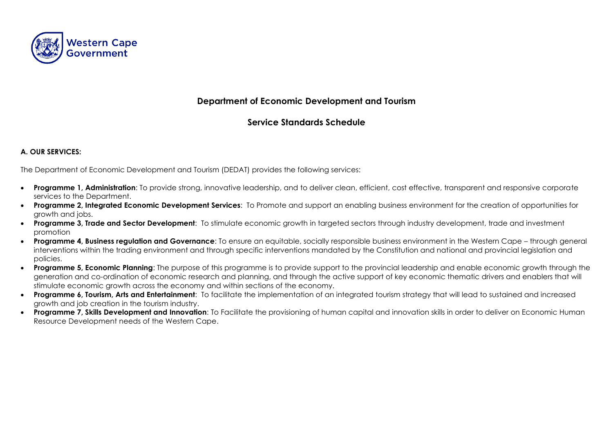

# **Department of Economic Development and Tourism**

# **Service Standards Schedule**

#### **A. OUR SERVICES:**

The Department of Economic Development and Tourism (DEDAT) provides the following services:

- **Programme 1, Administration**: To provide strong, innovative leadership, and to deliver clean, efficient, cost effective, transparent and responsive corporate services to the Department.
- **Programme 2, Integrated Economic Development Services**: To Promote and support an enabling business environment for the creation of opportunities for growth and jobs.
- **Programme 3, Trade and Sector Development**: To stimulate economic growth in targeted sectors through industry development, trade and investment promotion
- **Programme 4, Business regulation and Governance**: To ensure an equitable, socially responsible business environment in the Western Cape through general interventions within the trading environment and through specific interventions mandated by the Constitution and national and provincial legislation and policies.
- **Programme 5, Economic Planning**: The purpose of this programme is to provide support to the provincial leadership and enable economic growth through the generation and co-ordination of economic research and planning, and through the active support of key economic thematic drivers and enablers that will stimulate economic growth across the economy and within sections of the economy.
- **Programme 6, Tourism, Arts and Entertainment**: To facilitate the implementation of an integrated tourism strategy that will lead to sustained and increased growth and job creation in the tourism industry.
- **Programme 7, Skills Development and Innovation**: To Facilitate the provisioning of human capital and innovation skills in order to deliver on Economic Human Resource Development needs of the Western Cape.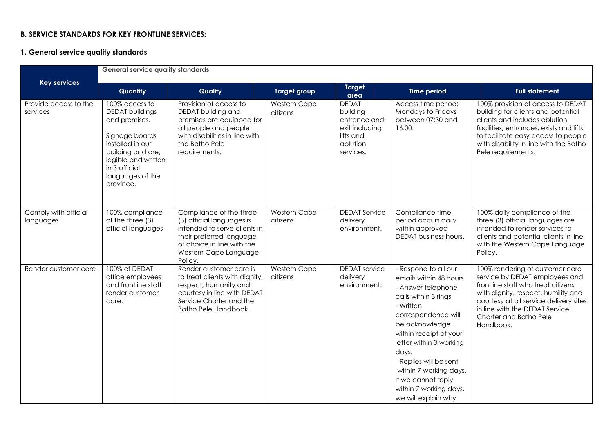### **B. SERVICE STANDARDS FOR KEY FRONTLINE SERVICES:**

#### **1. General service quality standards**

|                                   | <b>General service quality standards</b>                                                                                                                                                      |                                                                                                                                                                                    |                          |                                                                                                  |                                                                                                                                                                                                                                                                                                                                             |                                                                                                                                                                                                                                                                   |  |
|-----------------------------------|-----------------------------------------------------------------------------------------------------------------------------------------------------------------------------------------------|------------------------------------------------------------------------------------------------------------------------------------------------------------------------------------|--------------------------|--------------------------------------------------------------------------------------------------|---------------------------------------------------------------------------------------------------------------------------------------------------------------------------------------------------------------------------------------------------------------------------------------------------------------------------------------------|-------------------------------------------------------------------------------------------------------------------------------------------------------------------------------------------------------------------------------------------------------------------|--|
| <b>Key services</b>               | Quantity                                                                                                                                                                                      | Quality                                                                                                                                                                            | <b>Target group</b>      | <b>Target</b><br>area                                                                            | <b>Time period</b>                                                                                                                                                                                                                                                                                                                          | <b>Full statement</b>                                                                                                                                                                                                                                             |  |
| Provide access to the<br>services | 100% access to<br><b>DEDAT</b> buildings<br>and premises.<br>Signage boards<br>installed in our<br>building and are,<br>legible and written<br>in 3 official<br>languages of the<br>province. | Provision of access to<br>DEDAT building and<br>premises are equipped for<br>all people and people<br>with disabilities in line with<br>the Batho Pele<br>requirements.            | Western Cape<br>citizens | <b>DEDAT</b><br>building<br>entrance and<br>exit including<br>lifts and<br>ablution<br>services. | Access time period:<br>Mondays to Fridays<br>between 07:30 and<br>16:00.                                                                                                                                                                                                                                                                    | 100% provision of access to DEDAT<br>building for clients and potential<br>clients and includes ablution<br>facilities, entrances, exists and lifts<br>to facilitate easy access to people<br>with disability in line with the Batho<br>Pele requirements.        |  |
| Comply with official<br>languages | 100% compliance<br>of the three (3)<br>official languages                                                                                                                                     | Compliance of the three<br>(3) official languages is<br>intended to serve clients in<br>their preferred language<br>of choice in line with the<br>Western Cape Language<br>Policy. | Western Cape<br>citizens | <b>DEDAT Service</b><br>delivery<br>environment.                                                 | Compliance time<br>period occurs daily<br>within approved<br><b>DEDAT</b> business hours.                                                                                                                                                                                                                                                   | 100% daily compliance of the<br>three (3) official languages are<br>intended to render services to<br>clients and potential clients in line<br>with the Western Cape Language<br>Policy.                                                                          |  |
| Render customer care              | 100% of DEDAT<br>office employees<br>and frontline staff<br>render customer<br>care.                                                                                                          | Render customer care is<br>to treat clients with dignity,<br>respect, humanity and<br>courtesy in line with DEDAT<br>Service Charter and the<br>Batho Pele Handbook.               | Western Cape<br>citizens | <b>DEDAT</b> service<br>delivery<br>environment.                                                 | - Respond to all our<br>emails within 48 hours<br>- Answer telephone<br>calls within 3 rings<br>- Written<br>correspondence will<br>be acknowledge<br>within receipt of your<br>letter within 3 working<br>days.<br>- Replies will be sent<br>within 7 working days.<br>If we cannot reply<br>within 7 working days,<br>we will explain why | 100% rendering of customer care<br>service by DEDAT employees and<br>frontline staff who treat citizens<br>with dignity, respect, humility and<br>courtesy at all service delivery sites<br>in line with the DEDAT Service<br>Charter and Batho Pele<br>Handbook. |  |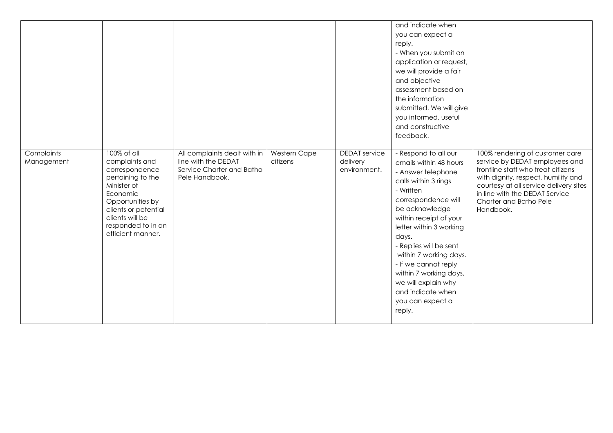|                          |                                                                                                                                                                                                           |                                                                                                    |                          |                                                  | and indicate when<br>you can expect a<br>reply.<br>- When you submit an<br>application or request,<br>we will provide a fair<br>and objective<br>assessment based on<br>the information<br>submitted. We will give<br>you informed, useful<br>and constructive<br>feedback.                                                                                                                      |                                                                                                                                                                                                                                                                   |
|--------------------------|-----------------------------------------------------------------------------------------------------------------------------------------------------------------------------------------------------------|----------------------------------------------------------------------------------------------------|--------------------------|--------------------------------------------------|--------------------------------------------------------------------------------------------------------------------------------------------------------------------------------------------------------------------------------------------------------------------------------------------------------------------------------------------------------------------------------------------------|-------------------------------------------------------------------------------------------------------------------------------------------------------------------------------------------------------------------------------------------------------------------|
| Complaints<br>Management | 100% of all<br>complaints and<br>correspondence<br>pertaining to the<br>Minister of<br>Economic<br>Opportunities by<br>clients or potential<br>clients will be<br>responded to in an<br>efficient manner. | All complaints dealt with in<br>line with the DEDAT<br>Service Charter and Batho<br>Pele Handbook. | Western Cape<br>citizens | <b>DEDAT</b> service<br>delivery<br>environment. | - Respond to all our<br>emails within 48 hours<br>- Answer telephone<br>calls within 3 rings<br>- Written<br>correspondence will<br>be acknowledge<br>within receipt of your<br>letter within 3 working<br>days.<br>- Replies will be sent<br>within 7 working days.<br>- If we cannot reply<br>within 7 working days,<br>we will explain why<br>and indicate when<br>you can expect a<br>reply. | 100% rendering of customer care<br>service by DEDAT employees and<br>frontline staff who treat citizens<br>with dignity, respect, humility and<br>courtesy at all service delivery sites<br>in line with the DEDAT Service<br>Charter and Batho Pele<br>Handbook. |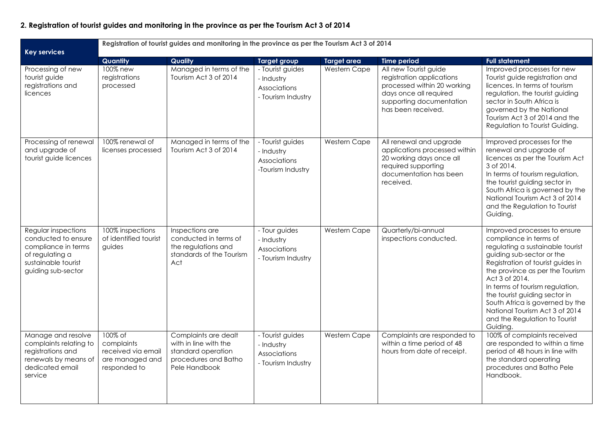# **2. Registration of tourist guides and monitoring in the province as per the Tourism Act 3 of 2014**

| <b>Key services</b>                                                                                                               | Registration of tourist guides and monitoring in the province as per the Tourism Act 3 of 2014 |                                                                                                              |                                                                      |              |                                                                                                                                                               |                                                                                                                                                                                                                                                                                                                                                                                                         |
|-----------------------------------------------------------------------------------------------------------------------------------|------------------------------------------------------------------------------------------------|--------------------------------------------------------------------------------------------------------------|----------------------------------------------------------------------|--------------|---------------------------------------------------------------------------------------------------------------------------------------------------------------|---------------------------------------------------------------------------------------------------------------------------------------------------------------------------------------------------------------------------------------------------------------------------------------------------------------------------------------------------------------------------------------------------------|
|                                                                                                                                   | Quantity                                                                                       | Quality                                                                                                      | <b>Target group</b>                                                  | Target area  | <b>Time period</b>                                                                                                                                            | <b>Full statement</b>                                                                                                                                                                                                                                                                                                                                                                                   |
| Processing of new<br>tourist guide<br>registrations and<br>licences                                                               | 100% new<br>registrations<br>processed                                                         | Managed in terms of the<br>Tourism Act 3 of 2014                                                             | - Tourist guides<br>- Industry<br>Associations<br>- Tourism Industry | Western Cape | All new Tourist guide<br>registration applications<br>processed within 20 working<br>days once all required<br>supporting documentation<br>has been received. | Improved processes for new<br>Tourist guide registration and<br>licences. In terms of tourism<br>regulation, the tourist guiding<br>sector in South Africa is<br>governed by the National<br>Tourism Act 3 of 2014 and the<br>Regulation to Tourist Guiding.                                                                                                                                            |
| Processing of renewal<br>and upgrade of<br>tourist guide licences                                                                 | 100% renewal of<br>licenses processed                                                          | Managed in terms of the<br>Tourism Act 3 of 2014                                                             | - Tourist guides<br>- Industry<br>Associations<br>-Tourism Industry  | Western Cape | All renewal and upgrade<br>applications processed within<br>20 working days once all<br>required supporting<br>documentation has been<br>received.            | Improved processes for the<br>renewal and upgrade of<br>licences as per the Tourism Act<br>3 of 2014.<br>In terms of tourism regulation,<br>the tourist guiding sector in<br>South Africa is governed by the<br>National Tourism Act 3 of 2014<br>and the Regulation to Tourist<br>Guiding.                                                                                                             |
| Regular inspections<br>conducted to ensure<br>compliance in terms<br>of regulating a<br>sustainable tourist<br>guiding sub-sector | 100% inspections<br>of identified tourist<br>guides                                            | Inspections are<br>conducted in terms of<br>the regulations and<br>standards of the Tourism<br>Act           | - Tour guides<br>- Industry<br>Associations<br>- Tourism Industry    | Western Cape | Quarterly/bi-annual<br>inspections conducted.                                                                                                                 | Improved processes to ensure<br>compliance in terms of<br>regulating a sustainable tourist<br>guiding sub-sector or the<br>Registration of tourist guides in<br>the province as per the Tourism<br>Act 3 of 2014.<br>In terms of tourism regulation,<br>the tourist guiding sector in<br>South Africa is governed by the<br>National Tourism Act 3 of 2014<br>and the Regulation to Tourist<br>Guiding. |
| Manage and resolve<br>complaints relating to<br>registrations and<br>renewals by means of<br>dedicated email<br>service           | 100% of<br>complaints<br>received via email<br>are managed and<br>responded to                 | Complaints are dealt<br>with in line with the<br>standard operation<br>procedures and Batho<br>Pele Handbook | - Tourist guides<br>- Industry<br>Associations<br>- Tourism Industry | Western Cape | Complaints are responded to<br>within a time period of 48<br>hours from date of receipt.                                                                      | 100% of complaints received<br>are responded to within a time<br>period of 48 hours in line with<br>the standard operating<br>procedures and Batho Pele<br>Handbook.                                                                                                                                                                                                                                    |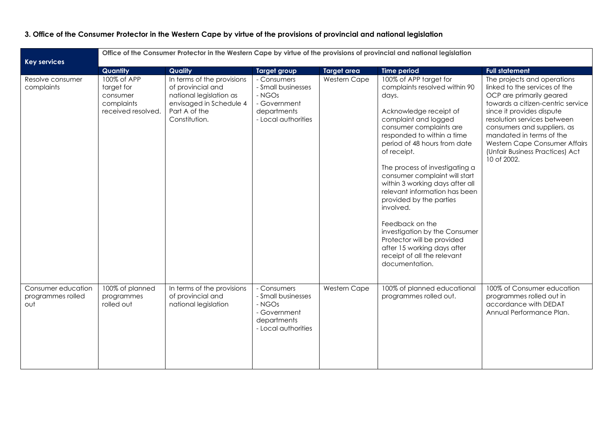# **3. Office of the Consumer Protector in the Western Cape by virtue of the provisions of provincial and national legislation**

| <b>Key services</b>                            |                                                                           | Office of the Consumer Protector in the Western Cape by virtue of the provisions of provincial and national legislation                 |                                                                                                   |                    |                                                                                                                                                                                                                                                                                                                                                                                                                                                                                                                                                                             |                                                                                                                                                                                                                                                                                                                                         |  |
|------------------------------------------------|---------------------------------------------------------------------------|-----------------------------------------------------------------------------------------------------------------------------------------|---------------------------------------------------------------------------------------------------|--------------------|-----------------------------------------------------------------------------------------------------------------------------------------------------------------------------------------------------------------------------------------------------------------------------------------------------------------------------------------------------------------------------------------------------------------------------------------------------------------------------------------------------------------------------------------------------------------------------|-----------------------------------------------------------------------------------------------------------------------------------------------------------------------------------------------------------------------------------------------------------------------------------------------------------------------------------------|--|
|                                                | Quantity                                                                  | Quality                                                                                                                                 | <b>Target group</b>                                                                               | <b>Target area</b> | <b>Time period</b>                                                                                                                                                                                                                                                                                                                                                                                                                                                                                                                                                          | <b>Full statement</b>                                                                                                                                                                                                                                                                                                                   |  |
| Resolve consumer<br>complaints                 | 100% of APP<br>target for<br>consumer<br>complaints<br>received resolved. | In terms of the provisions<br>of provincial and<br>national legislation as<br>envisaged in Schedule 4<br>Part A of the<br>Constitution. | - Consumers<br>- Small businesses<br>- NGOs<br>- Government<br>departments<br>- Local authorities | Western Cape       | 100% of APP target for<br>complaints resolved within 90<br>days.<br>Acknowledge receipt of<br>complaint and logged<br>consumer complaints are<br>responded to within a time<br>period of 48 hours from date<br>of receipt.<br>The process of investigating a<br>consumer complaint will start<br>within 3 working days after all<br>relevant information has been<br>provided by the parties<br>involved.<br>Feedback on the<br>investigation by the Consumer<br>Protector will be provided<br>after 15 working days after<br>receipt of all the relevant<br>documentation. | The projects and operations<br>linked to the services of the<br>OCP are primarily geared<br>towards a citizen-centric service<br>since it provides dispute<br>resolution services between<br>consumers and suppliers, as<br>mandated in terms of the<br>Western Cape Consumer Affairs<br>(Unfair Business Practices) Act<br>10 of 2002. |  |
| Consumer education<br>programmes rolled<br>out | 100% of planned<br>programmes<br>rolled out                               | In terms of the provisions<br>of provincial and<br>national legislation                                                                 | - Consumers<br>- Small businesses<br>- NGOs<br>- Government<br>departments<br>- Local authorities | Western Cape       | 100% of planned educational<br>programmes rolled out.                                                                                                                                                                                                                                                                                                                                                                                                                                                                                                                       | 100% of Consumer education<br>programmes rolled out in<br>accordance with DEDAT<br>Annual Performance Plan.                                                                                                                                                                                                                             |  |